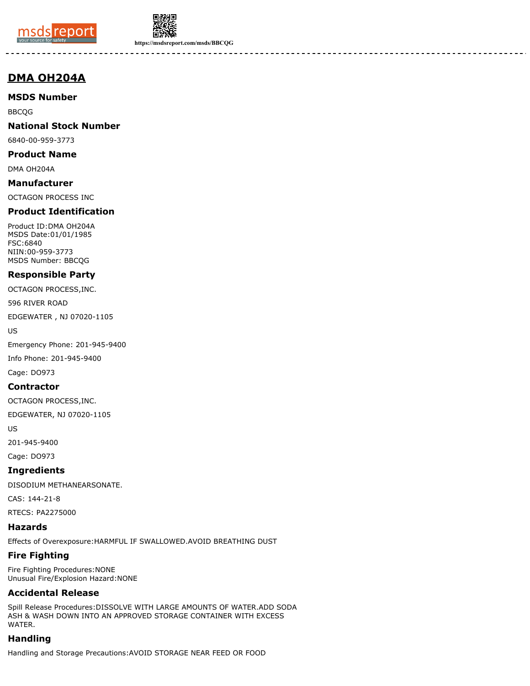



**https://msdsreport.com/msds/BBCQG**

# **DMA OH204A**

#### **MSDS Number**

BBCQG

#### **National Stock Number**

6840-00-959-3773

# **Product Name**

DMA OH204A

#### **Manufacturer**

OCTAGON PROCESS INC

### **Product Identification**

Product ID:DMA OH204A MSDS Date:01/01/1985 FSC:6840 NIIN:00-959-3773 MSDS Number: BBCQG

#### **Responsible Party**

OCTAGON PROCESS,INC.

596 RIVER ROAD

EDGEWATER , NJ 07020-1105

US

Emergency Phone: 201-945-9400

Info Phone: 201-945-9400

Cage: DO973

#### **Contractor**

OCTAGON PROCESS,INC.

EDGEWATER, NJ 07020-1105

US

201-945-9400

Cage: DO973

#### **Ingredients**

DISODIUM METHANEARSONATE.

CAS: 144-21-8

RTECS: PA2275000

#### **Hazards**

Effects of Overexposure:HARMFUL IF SWALLOWED.AVOID BREATHING DUST

#### **Fire Fighting**

Fire Fighting Procedures:NONE Unusual Fire/Explosion Hazard:NONE

## **Accidental Release**

Spill Release Procedures:DISSOLVE WITH LARGE AMOUNTS OF WATER.ADD SODA ASH & WASH DOWN INTO AN APPROVED STORAGE CONTAINER WITH EXCESS WATER.

# **Handling**

Handling and Storage Precautions:AVOID STORAGE NEAR FEED OR FOOD